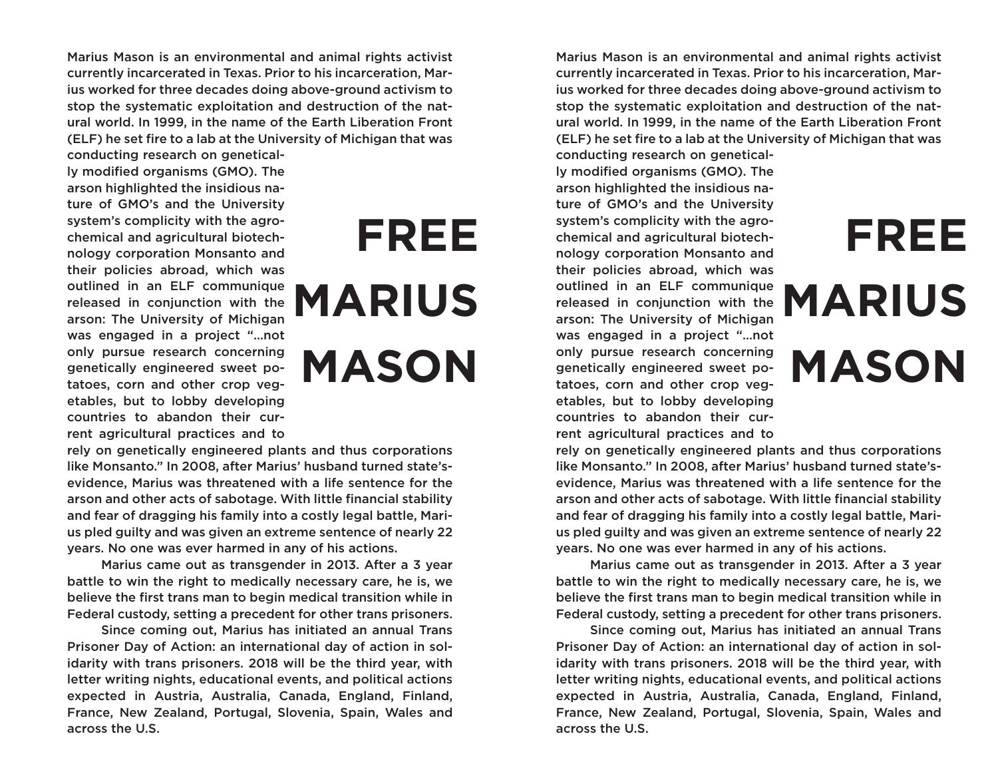Marius Mason is an environmental and animal rights activist currently incarcerated in Texas. Prior to his incarceration, Marius worked for three decades doing above-ground activism to stop the systematic exploitation and destruction of the natural world. In 1999, in the name of the Earth Liberation Front (ELF) he set fire to a lab at the University of Michigan that was

conducting research on genetically modified organisms (GMO). The arson highlighted the insidious nature of GMO's and the University system's complicity with the agrochemical and agricultural biotechnology corporation Monsanto and their policies abroad, which was outlined in an ELF communique released in conjunction with the arson: The University of Michigan was engaged in a project "…not only pursue research concerning genetically engineered sweet potatoes, corn and other crop vegetables, but to lobby developing countries to abandon their current agricultural practices and to

## **FREE MARIUS MASON**

rely on genetically engineered plants and thus corporations like Monsanto." In 2008, after Marius' husband turned state'sevidence, Marius was threatened with a life sentence for the arson and other acts of sabotage. With little financial stability and fear of dragging his family into a costly legal battle, Marius pled guilty and was given an extreme sentence of nearly 22 years. No one was ever harmed in any of his actions.

Marius came out as transgender in 2013. After a 3 year battle to win the right to medically necessary care, he is, we believe the first trans man to begin medical transition while in Federal custody, setting a precedent for other trans prisoners.

Since coming out, Marius has initiated an annual Trans Prisoner Day of Action: an international day of action in solidarity with trans prisoners. 2018 will be the third year, with letter writing nights, educational events, and political actions expected in Austria, Australia, Canada, England, Finland, France, New Zealand, Portugal, Slovenia, Spain, Wales and across the U.S.

Marius Mason is an environmental and animal rights activist currently incarcerated in Texas. Prior to his incarceration, Marius worked for three decades doing above-ground activism to stop the systematic exploitation and destruction of the natural world. In 1999, in the name of the Earth Liberation Front (ELF) he set fire to a lab at the University of Michigan that was conducting research on genetical-

**FREE**

**MARIUS**

**MASON**

ly modified organisms (GMO). The arson highlighted the insidious nature of GMO's and the University system's complicity with the agrochemical and agricultural biotechnology corporation Monsanto and their policies abroad, which was outlined in an ELF communique released in conjunction with the arson: The University of Michigan was engaged in a project "…not only pursue research concerning genetically engineered sweet potatoes, corn and other crop vegetables, but to lobby developing countries to abandon their current agricultural practices and to

## rely on genetically engineered plants and thus corporations like Monsanto." In 2008, after Marius' husband turned state'sevidence, Marius was threatened with a life sentence for the arson and other acts of sabotage. With little financial stability and fear of dragging his family into a costly legal battle, Marius pled guilty and was given an extreme sentence of nearly 22 years. No one was ever harmed in any of his actions.

Marius came out as transgender in 2013. After a 3 year battle to win the right to medically necessary care, he is, we believe the first trans man to begin medical transition while in Federal custody, setting a precedent for other trans prisoners.

Since coming out, Marius has initiated an annual Trans Prisoner Day of Action: an international day of action in solidarity with trans prisoners. 2018 will be the third year, with letter writing nights, educational events, and political actions expected in Austria, Australia, Canada, England, Finland, France, New Zealand, Portugal, Slovenia, Spain, Wales and across the U.S.